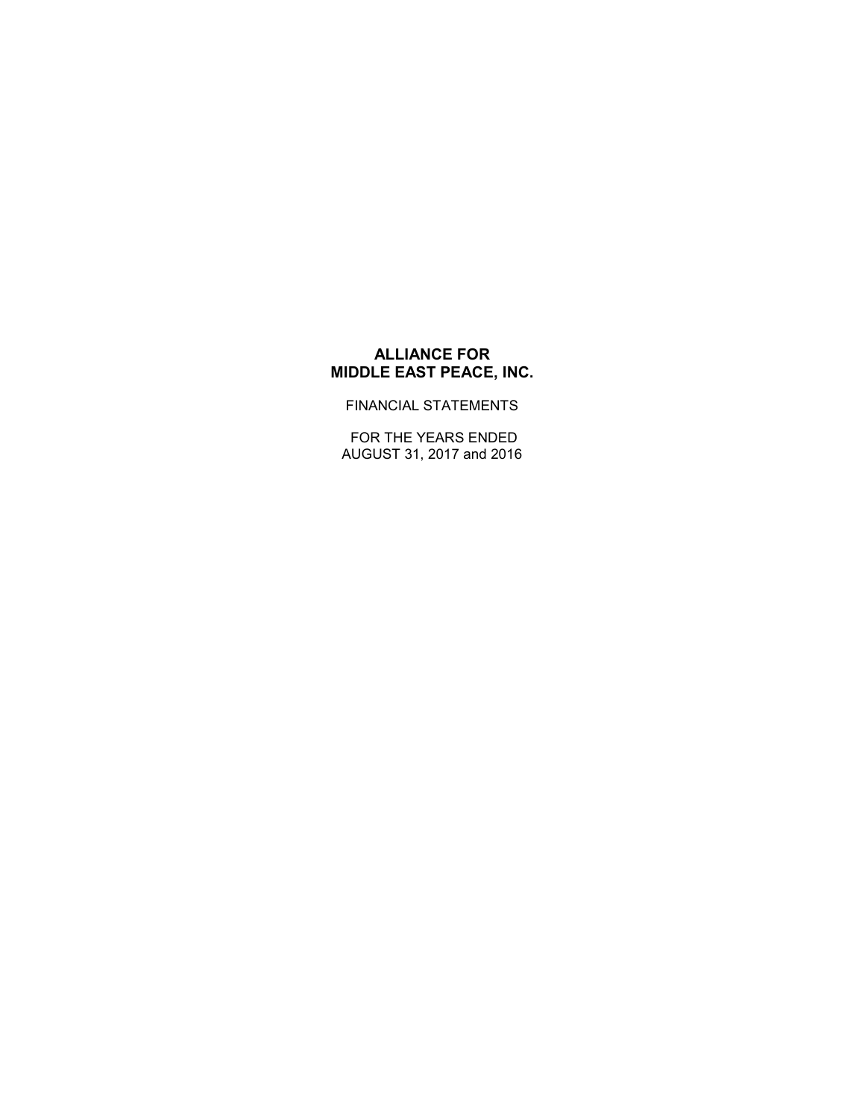FINANCIAL STATEMENTS

 FOR THE YEARS ENDED AUGUST 31, 2017 and 2016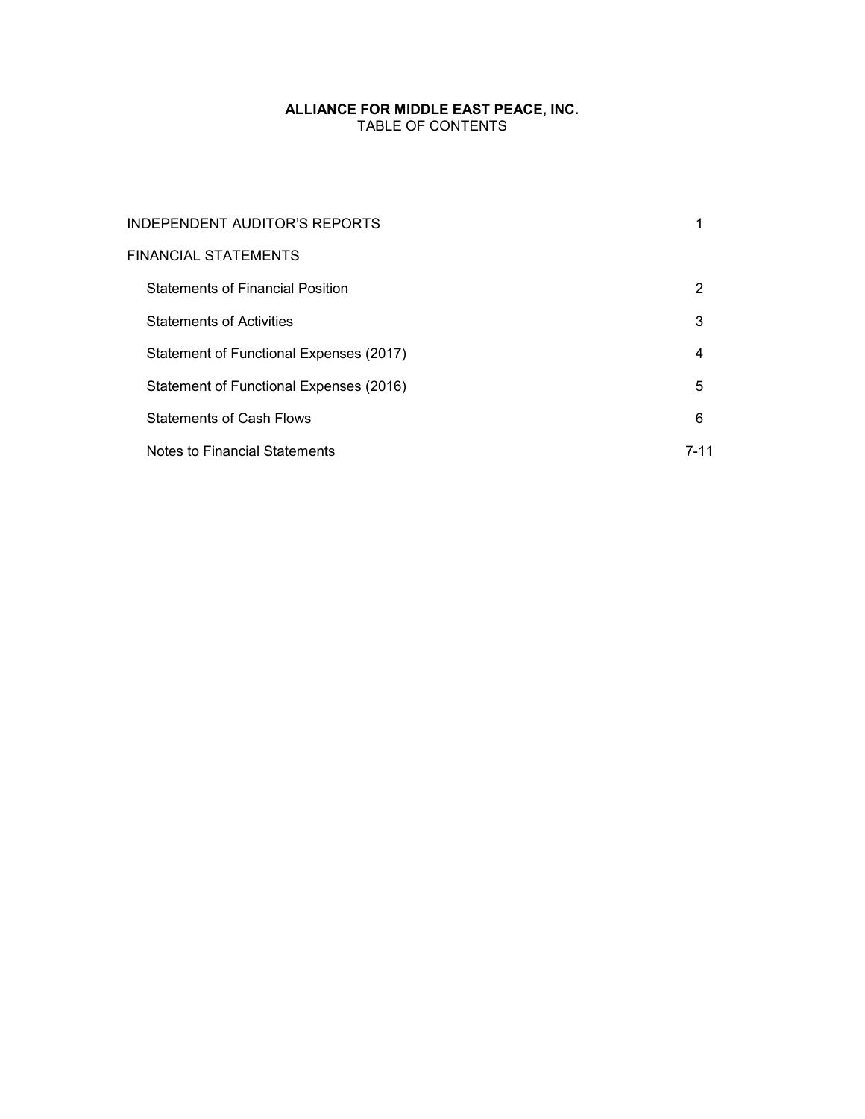# **ALLIANCE FOR MIDDLE EAST PEACE, INC.**  TABLE OF CONTENTS

| INDEPENDENT AUDITOR'S REPORTS           |      |
|-----------------------------------------|------|
| FINANCIAL STATEMENTS                    |      |
| <b>Statements of Financial Position</b> | 2    |
| <b>Statements of Activities</b>         | 3    |
| Statement of Functional Expenses (2017) | 4    |
| Statement of Functional Expenses (2016) | 5    |
| <b>Statements of Cash Flows</b>         | 6    |
| Notes to Financial Statements           | 7-11 |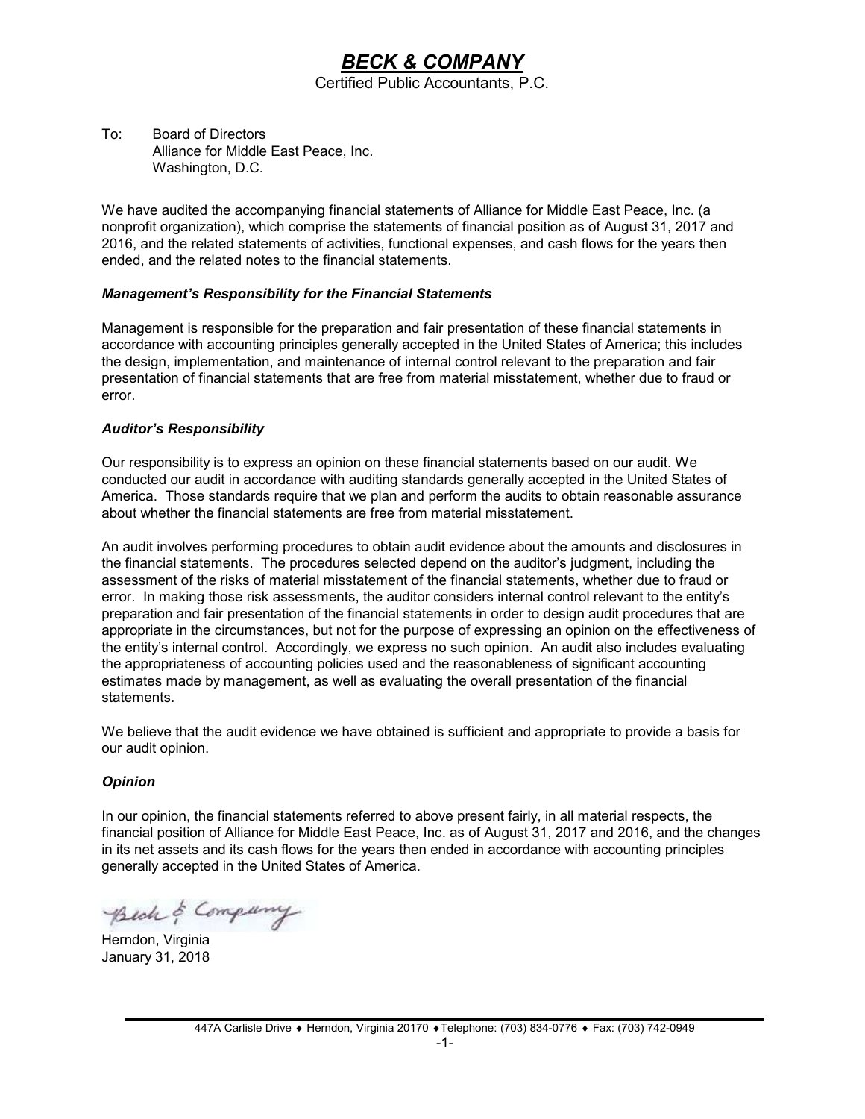*BECK & COMPANY*  Certified Public Accountants, P.C.

To: Board of Directors Alliance for Middle East Peace, Inc. Washington, D.C.

We have audited the accompanying financial statements of Alliance for Middle East Peace, Inc. (a nonprofit organization), which comprise the statements of financial position as of August 31, 2017 and 2016, and the related statements of activities, functional expenses, and cash flows for the years then ended, and the related notes to the financial statements.

#### *Management's Responsibility for the Financial Statements*

Management is responsible for the preparation and fair presentation of these financial statements in accordance with accounting principles generally accepted in the United States of America; this includes the design, implementation, and maintenance of internal control relevant to the preparation and fair presentation of financial statements that are free from material misstatement, whether due to fraud or error.

# *Auditor's Responsibility*

Our responsibility is to express an opinion on these financial statements based on our audit. We conducted our audit in accordance with auditing standards generally accepted in the United States of America. Those standards require that we plan and perform the audits to obtain reasonable assurance about whether the financial statements are free from material misstatement.

An audit involves performing procedures to obtain audit evidence about the amounts and disclosures in the financial statements. The procedures selected depend on the auditor's judgment, including the assessment of the risks of material misstatement of the financial statements, whether due to fraud or error. In making those risk assessments, the auditor considers internal control relevant to the entity's preparation and fair presentation of the financial statements in order to design audit procedures that are appropriate in the circumstances, but not for the purpose of expressing an opinion on the effectiveness of the entity's internal control. Accordingly, we express no such opinion. An audit also includes evaluating the appropriateness of accounting policies used and the reasonableness of significant accounting estimates made by management, as well as evaluating the overall presentation of the financial statements.

We believe that the audit evidence we have obtained is sufficient and appropriate to provide a basis for our audit opinion.

#### *Opinion*

In our opinion, the financial statements referred to above present fairly, in all material respects, the financial position of Alliance for Middle East Peace, Inc. as of August 31, 2017 and 2016, and the changes in its net assets and its cash flows for the years then ended in accordance with accounting principles generally accepted in the United States of America.

Beck & Company

Herndon, Virginia January 31, 2018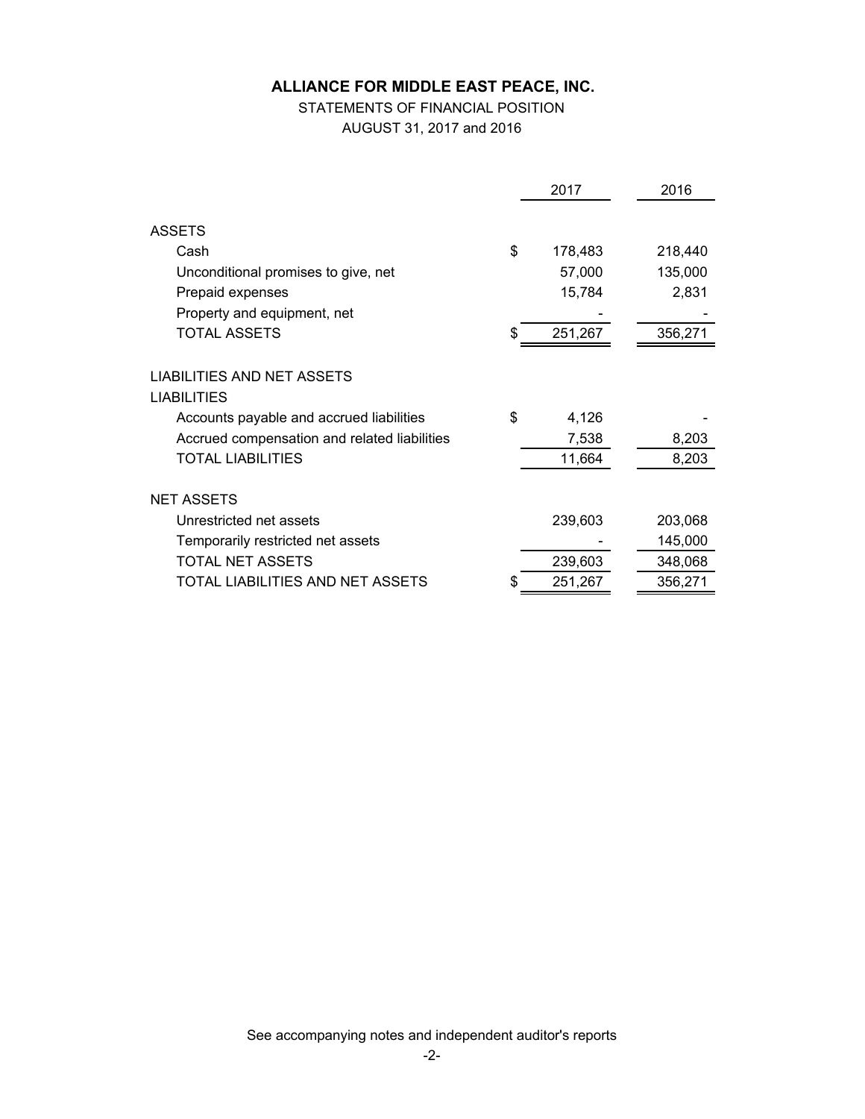# STATEMENTS OF FINANCIAL POSITION AUGUST 31, 2017 and 2016

|                                              | 2017          | 2016    |
|----------------------------------------------|---------------|---------|
| <b>ASSETS</b>                                |               |         |
| Cash                                         | \$<br>178,483 | 218,440 |
| Unconditional promises to give, net          | 57,000        | 135,000 |
| Prepaid expenses                             | 15,784        | 2,831   |
| Property and equipment, net                  |               |         |
| TOTAL ASSETS                                 | \$<br>251,267 | 356,271 |
| <b>LIABILITIES AND NET ASSETS</b>            |               |         |
| <b>LIABILITIES</b>                           |               |         |
| Accounts payable and accrued liabilities     | \$<br>4,126   |         |
| Accrued compensation and related liabilities | 7,538         | 8,203   |
| <b>TOTAL LIABILITIES</b>                     | 11,664        | 8,203   |
| <b>NET ASSETS</b>                            |               |         |
| Unrestricted net assets                      | 239,603       | 203,068 |
| Temporarily restricted net assets            |               | 145,000 |
| TOTAL NET ASSETS                             | 239,603       | 348,068 |
| TOTAL LIABILITIES AND NET ASSETS             | \$<br>251,267 | 356,271 |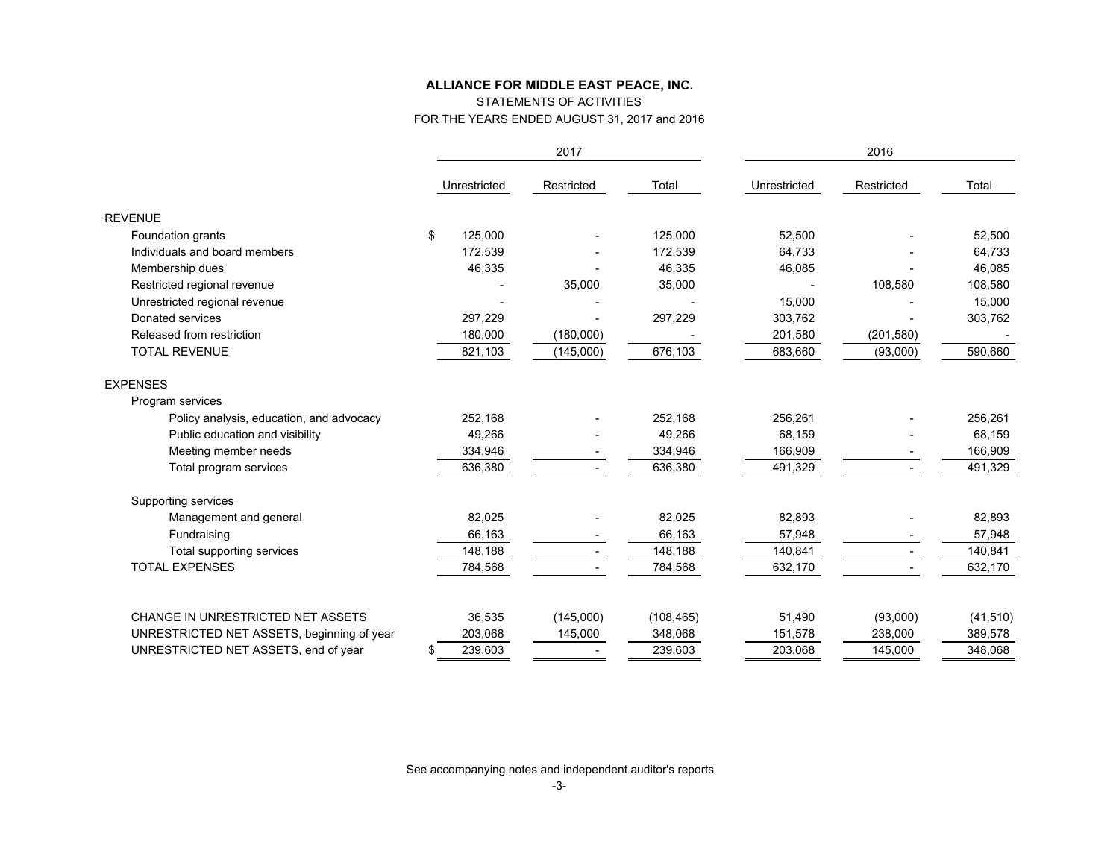#### STATEMENTS OF ACTIVITIES FOR THE YEARS ENDED AUGUST 31, 2017 and 2016

|                                            | 2017 |              |                          |            | 2016         |            |           |  |  |
|--------------------------------------------|------|--------------|--------------------------|------------|--------------|------------|-----------|--|--|
|                                            |      | Unrestricted | Restricted               | Total      | Unrestricted | Restricted | Total     |  |  |
| <b>REVENUE</b>                             |      |              |                          |            |              |            |           |  |  |
| Foundation grants                          | \$   | 125,000      |                          | 125,000    | 52,500       |            | 52,500    |  |  |
| Individuals and board members              |      | 172,539      |                          | 172,539    | 64,733       |            | 64,733    |  |  |
| Membership dues                            |      | 46,335       |                          | 46,335     | 46,085       |            | 46,085    |  |  |
| Restricted regional revenue                |      |              | 35,000                   | 35,000     |              | 108,580    | 108,580   |  |  |
| Unrestricted regional revenue              |      |              |                          |            | 15,000       |            | 15,000    |  |  |
| Donated services                           |      | 297,229      |                          | 297,229    | 303,762      |            | 303,762   |  |  |
| Released from restriction                  |      | 180,000      | (180,000)                |            | 201,580      | (201, 580) |           |  |  |
| <b>TOTAL REVENUE</b>                       |      | 821,103      | (145,000)                | 676,103    | 683,660      | (93,000)   | 590,660   |  |  |
| <b>EXPENSES</b>                            |      |              |                          |            |              |            |           |  |  |
| Program services                           |      |              |                          |            |              |            |           |  |  |
| Policy analysis, education, and advocacy   |      | 252,168      |                          | 252,168    | 256,261      |            | 256,261   |  |  |
| Public education and visibility            |      | 49,266       |                          | 49,266     | 68,159       |            | 68,159    |  |  |
| Meeting member needs                       |      | 334,946      | $\overline{\phantom{a}}$ | 334,946    | 166,909      |            | 166,909   |  |  |
| Total program services                     |      | 636,380      |                          | 636,380    | 491,329      |            | 491,329   |  |  |
| Supporting services                        |      |              |                          |            |              |            |           |  |  |
| Management and general                     |      | 82,025       |                          | 82,025     | 82,893       |            | 82,893    |  |  |
| Fundraising                                |      | 66,163       |                          | 66,163     | 57,948       |            | 57,948    |  |  |
| Total supporting services                  |      | 148,188      |                          | 148,188    | 140,841      |            | 140,841   |  |  |
| <b>TOTAL EXPENSES</b>                      |      | 784,568      |                          | 784,568    | 632,170      |            | 632,170   |  |  |
| CHANGE IN UNRESTRICTED NET ASSETS          |      | 36,535       | (145,000)                | (108, 465) | 51,490       | (93,000)   | (41, 510) |  |  |
| UNRESTRICTED NET ASSETS, beginning of year |      | 203,068      | 145,000                  | 348,068    | 151,578      | 238,000    | 389,578   |  |  |
| UNRESTRICTED NET ASSETS, end of year       | \$   | 239,603      |                          | 239,603    | 203,068      | 145,000    | 348,068   |  |  |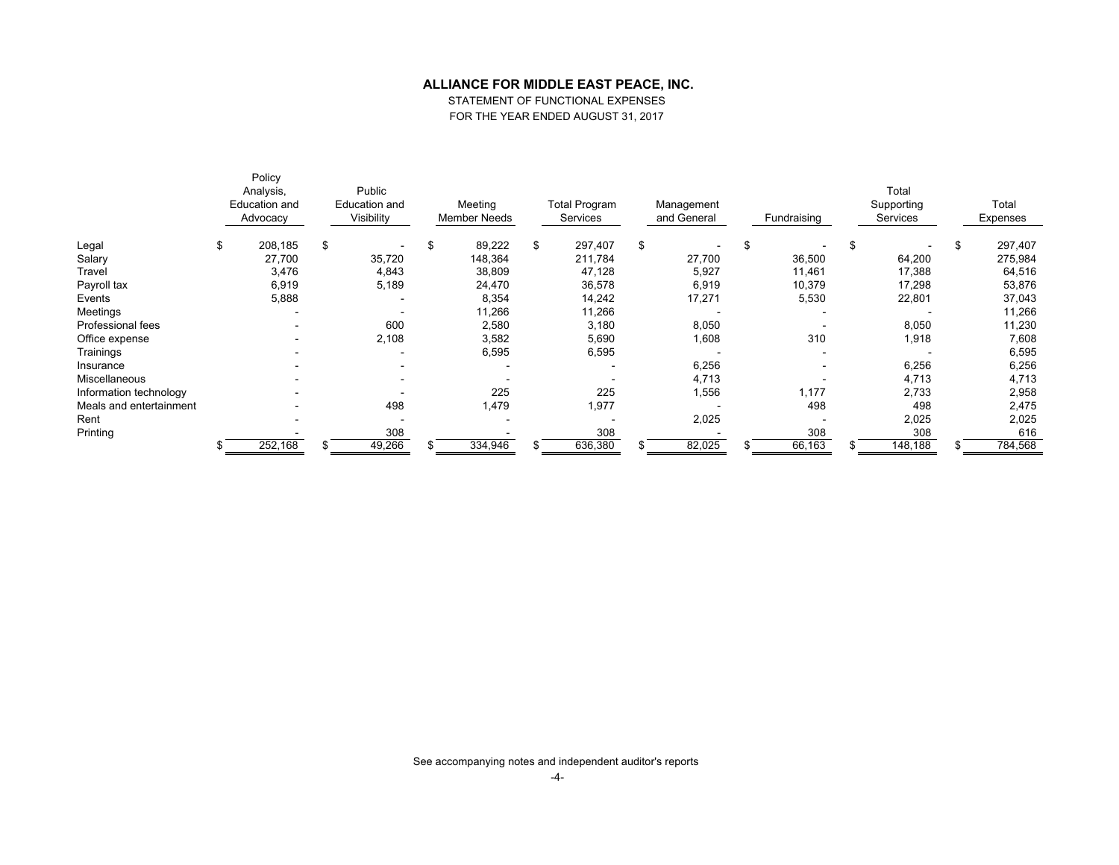STATEMENT OF FUNCTIONAL EXPENSES

FOR THE YEAR ENDED AUGUST 31, 2017

|                         | Policy<br>Analysis,<br>Education and<br>Advocacy | Public<br>Education and<br>Visibility | Meeting<br><b>Member Needs</b> | <b>Total Program</b><br>Services | Management<br>and General | Fundraising | Total<br>Supporting<br>Services |    | Total<br>Expenses |
|-------------------------|--------------------------------------------------|---------------------------------------|--------------------------------|----------------------------------|---------------------------|-------------|---------------------------------|----|-------------------|
| Legal                   | \$<br>208,185                                    | \$                                    | \$<br>89,222                   | \$<br>297,407                    | \$                        | \$          | \$                              | \$ | 297,407           |
| Salary                  | 27,700                                           | 35,720                                | 148,364                        | 211,784                          | 27,700                    | 36,500      | 64,200                          |    | 275,984           |
| Travel                  | 3,476                                            | 4,843                                 | 38,809                         | 47,128                           | 5,927                     | 11,461      | 17,388                          |    | 64,516            |
| Payroll tax             | 6,919                                            | 5,189                                 | 24,470                         | 36,578                           | 6,919                     | 10,379      | 17,298                          |    | 53,876            |
| Events                  | 5,888                                            |                                       | 8,354                          | 14,242                           | 17,271                    | 5,530       | 22,801                          |    | 37,043            |
| Meetings                | $\overline{a}$                                   |                                       | 11,266                         | 11,266                           |                           |             |                                 |    | 11,266            |
| Professional fees       |                                                  | 600                                   | 2,580                          | 3,180                            | 8,050                     |             | 8,050                           |    | 11,230            |
| Office expense          |                                                  | 2,108                                 | 3,582                          | 5,690                            | 1,608                     | 310         | 1,918                           |    | 7,608             |
| Trainings               |                                                  |                                       | 6,595                          | 6,595                            |                           |             |                                 |    | 6,595             |
| Insurance               |                                                  | $\overline{\phantom{0}}$              |                                |                                  | 6,256                     |             | 6,256                           |    | 6,256             |
| <b>Miscellaneous</b>    |                                                  |                                       |                                |                                  | 4,713                     |             | 4,713                           |    | 4,713             |
| Information technology  |                                                  |                                       | 225                            | 225                              | 1,556                     | 1,177       | 2,733                           |    | 2,958             |
| Meals and entertainment |                                                  | 498                                   | 1,479                          | 1,977                            |                           | 498         | 498                             |    | 2,475             |
| Rent                    |                                                  |                                       |                                |                                  | 2,025                     |             | 2,025                           |    | 2,025             |
| Printing                |                                                  | 308                                   |                                | 308                              |                           | 308         | 308                             |    | 616               |
|                         | 252,168                                          | 49,266                                | 334,946                        | 636,380                          | 82,025                    | 66,163      | 148,188                         | Ж, | 784,568           |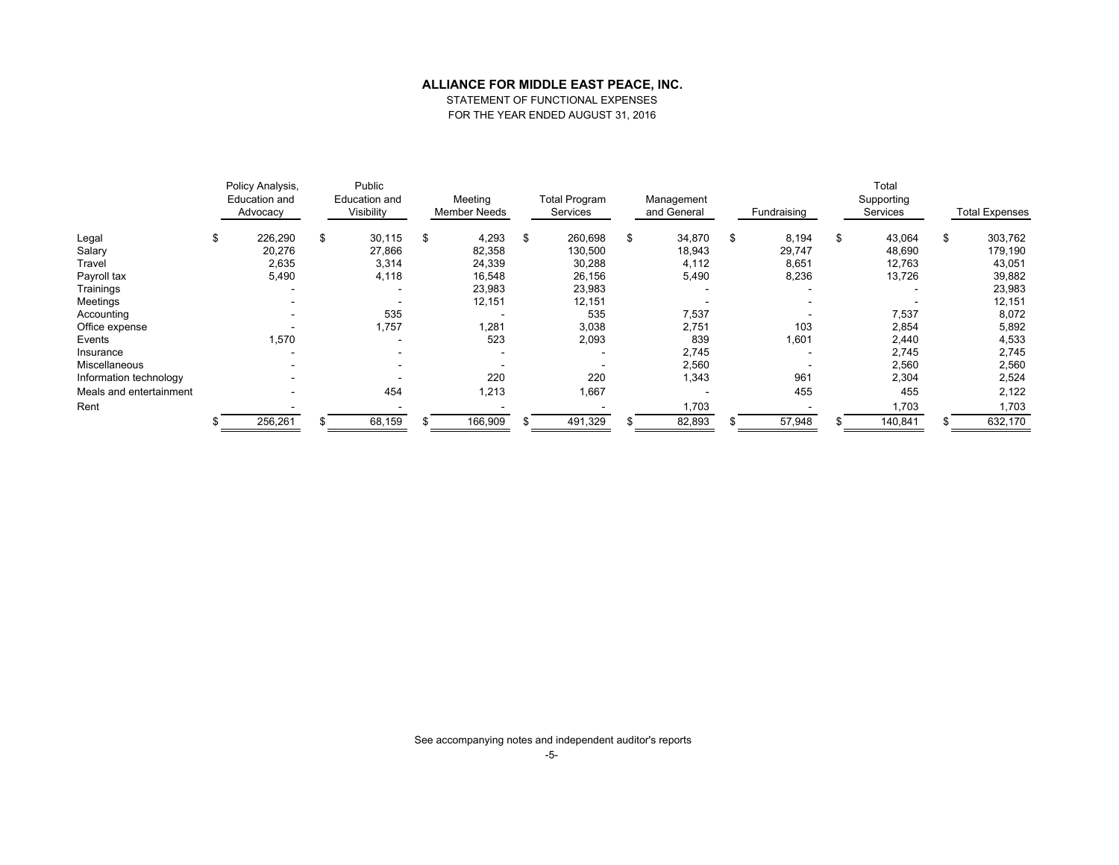STATEMENT OF FUNCTIONAL EXPENSES

FOR THE YEAR ENDED AUGUST 31, 2016

|                         | Policy Analysis,<br>Education and<br>Advocacy |         | Public                      |                         |                                  |                           |             | Total                  |                       |
|-------------------------|-----------------------------------------------|---------|-----------------------------|-------------------------|----------------------------------|---------------------------|-------------|------------------------|-----------------------|
|                         |                                               |         | Education and<br>Visibility | Meeting<br>Member Needs | <b>Total Program</b><br>Services | Management<br>and General | Fundraising | Supporting<br>Services | <b>Total Expenses</b> |
| Legal                   |                                               | 226,290 | \$<br>30,115                | \$<br>4,293             | \$<br>260,698                    | \$<br>34,870              | \$<br>8,194 | \$<br>43,064           | \$<br>303,762         |
| Salary                  |                                               | 20,276  | 27,866                      | 82,358                  | 130,500                          | 18,943                    | 29,747      | 48,690                 | 179,190               |
| Travel                  |                                               | 2,635   | 3,314                       | 24,339                  | 30,288                           | 4,112                     | 8,651       | 12,763                 | 43,051                |
| Payroll tax             |                                               | 5,490   | 4,118                       | 16,548                  | 26,156                           | 5,490                     | 8,236       | 13,726                 | 39,882                |
| Trainings               |                                               |         |                             | 23,983                  | 23,983                           |                           |             |                        | 23,983                |
| Meetings                |                                               |         |                             | 12,151                  | 12,151                           |                           |             |                        | 12,151                |
| Accounting              |                                               |         | 535                         |                         | 535                              | 7,537                     |             | 7,537                  | 8,072                 |
| Office expense          |                                               |         | 1,757                       | 1,281                   | 3,038                            | 2,751                     | 103         | 2,854                  | 5,892                 |
| Events                  |                                               | 1,570   |                             | 523                     | 2,093                            | 839                       | 1,601       | 2,440                  | 4,533                 |
| Insurance               |                                               |         |                             |                         |                                  | 2,745                     |             | 2,745                  | 2,745                 |
| Miscellaneous           |                                               |         | ۰                           |                         |                                  | 2,560                     |             | 2,560                  | 2,560                 |
| Information technology  |                                               |         |                             | 220                     | 220                              | 1,343                     | 961         | 2,304                  | 2,524                 |
| Meals and entertainment |                                               |         | 454                         | 1,213                   | 1,667                            |                           | 455         | 455                    | 2,122                 |
| Rent                    |                                               |         |                             |                         |                                  | 1,703                     |             | 1,703                  | 1,703                 |
|                         |                                               | 256,261 | 68,159                      | 166,909                 | 491,329                          | 82,893                    | 57,948      | 140,841                | 632,170               |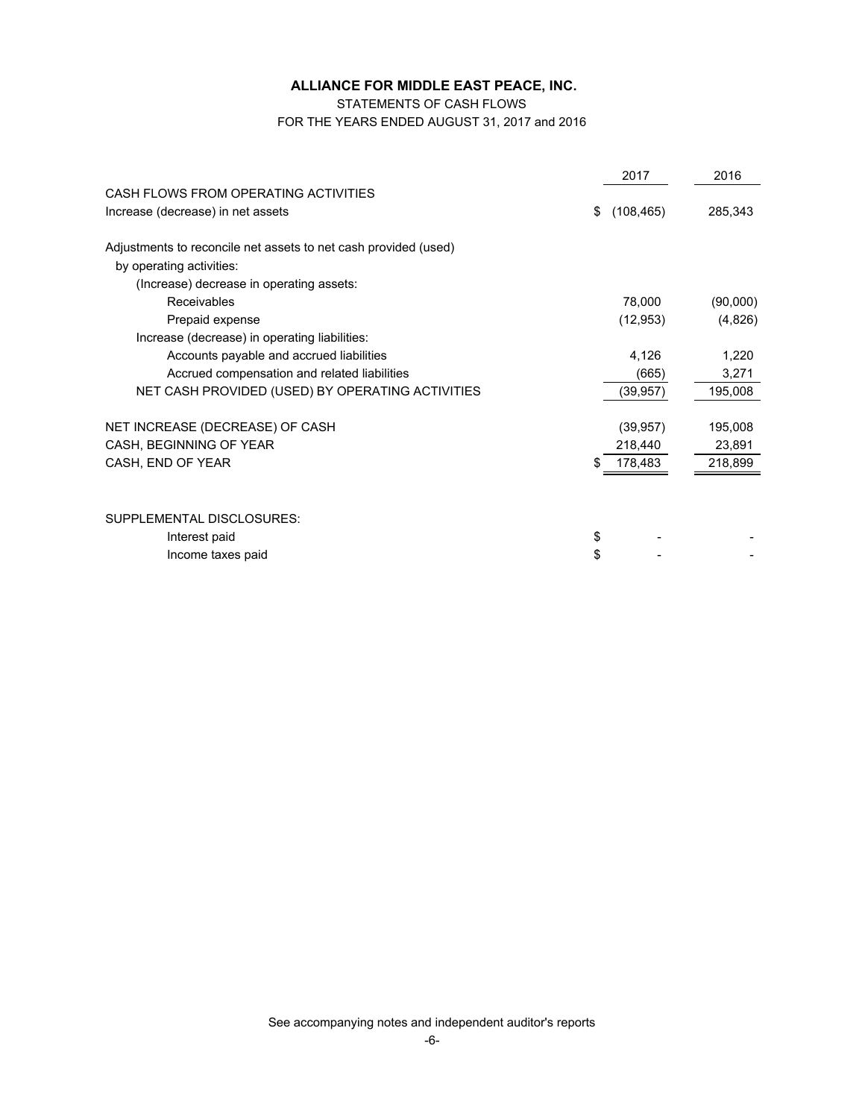# STATEMENTS OF CASH FLOWS

### FOR THE YEARS ENDED AUGUST 31, 2017 and 2016

|                                                                 | 2017             | 2016     |
|-----------------------------------------------------------------|------------------|----------|
| CASH FLOWS FROM OPERATING ACTIVITIES                            |                  |          |
| Increase (decrease) in net assets                               | \$<br>(108, 465) | 285,343  |
| Adjustments to reconcile net assets to net cash provided (used) |                  |          |
| by operating activities:                                        |                  |          |
| (Increase) decrease in operating assets:                        |                  |          |
| Receivables                                                     | 78,000           | (90,000) |
| Prepaid expense                                                 | (12, 953)        | (4,826)  |
| Increase (decrease) in operating liabilities:                   |                  |          |
| Accounts payable and accrued liabilities                        | 4,126            | 1,220    |
| Accrued compensation and related liabilities                    | (665)            | 3,271    |
| NET CASH PROVIDED (USED) BY OPERATING ACTIVITIES                | (39, 957)        | 195,008  |
| NET INCREASE (DECREASE) OF CASH                                 | (39, 957)        | 195,008  |
| CASH, BEGINNING OF YEAR                                         | 218,440          | 23,891   |
| CASH, END OF YEAR                                               | 178,483          | 218,899  |
|                                                                 |                  |          |
| SUPPLEMENTAL DISCLOSURES:                                       |                  |          |
| Interest paid                                                   | \$               |          |
| Income taxes paid                                               | \$               |          |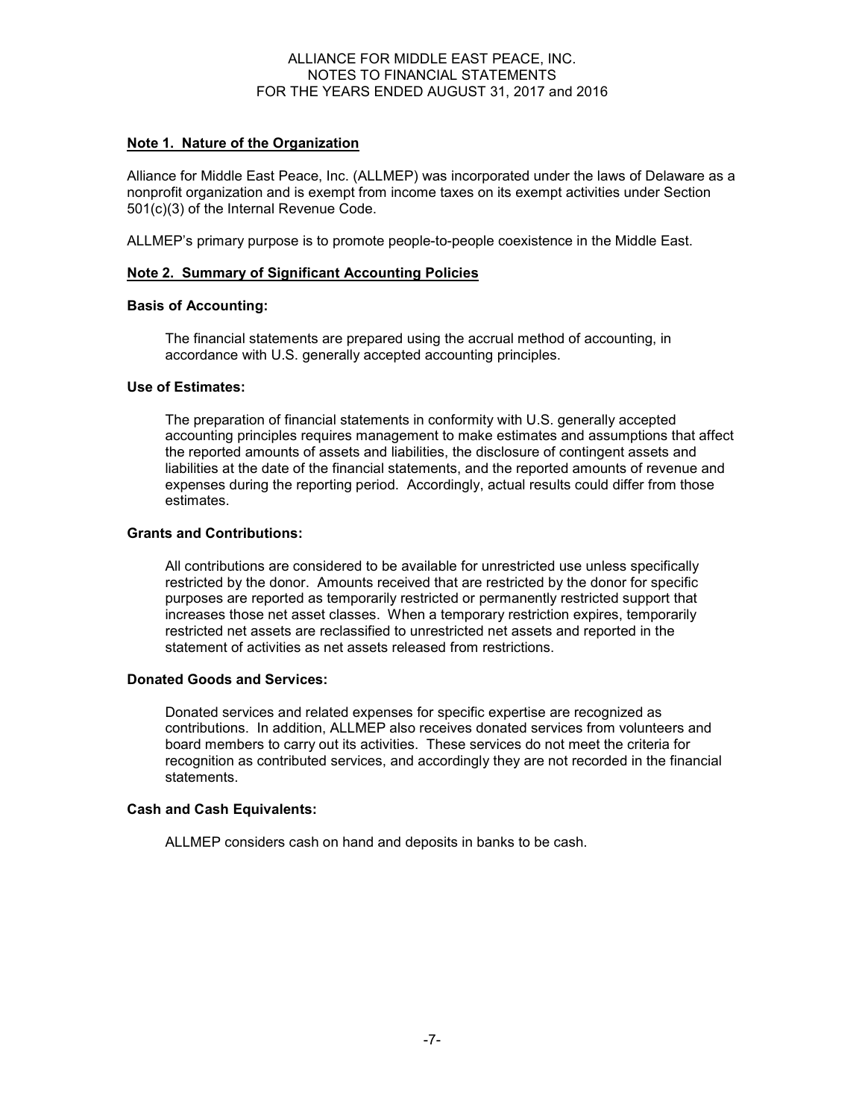# **Note 1. Nature of the Organization**

Alliance for Middle East Peace, Inc. (ALLMEP) was incorporated under the laws of Delaware as a nonprofit organization and is exempt from income taxes on its exempt activities under Section 501(c)(3) of the Internal Revenue Code.

ALLMEP's primary purpose is to promote people-to-people coexistence in the Middle East.

#### **Note 2. Summary of Significant Accounting Policies**

#### **Basis of Accounting:**

The financial statements are prepared using the accrual method of accounting, in accordance with U.S. generally accepted accounting principles.

#### **Use of Estimates:**

The preparation of financial statements in conformity with U.S. generally accepted accounting principles requires management to make estimates and assumptions that affect the reported amounts of assets and liabilities, the disclosure of contingent assets and liabilities at the date of the financial statements, and the reported amounts of revenue and expenses during the reporting period. Accordingly, actual results could differ from those estimates.

# **Grants and Contributions:**

All contributions are considered to be available for unrestricted use unless specifically restricted by the donor. Amounts received that are restricted by the donor for specific purposes are reported as temporarily restricted or permanently restricted support that increases those net asset classes. When a temporary restriction expires, temporarily restricted net assets are reclassified to unrestricted net assets and reported in the statement of activities as net assets released from restrictions.

#### **Donated Goods and Services:**

Donated services and related expenses for specific expertise are recognized as contributions. In addition, ALLMEP also receives donated services from volunteers and board members to carry out its activities. These services do not meet the criteria for recognition as contributed services, and accordingly they are not recorded in the financial statements.

#### **Cash and Cash Equivalents:**

ALLMEP considers cash on hand and deposits in banks to be cash.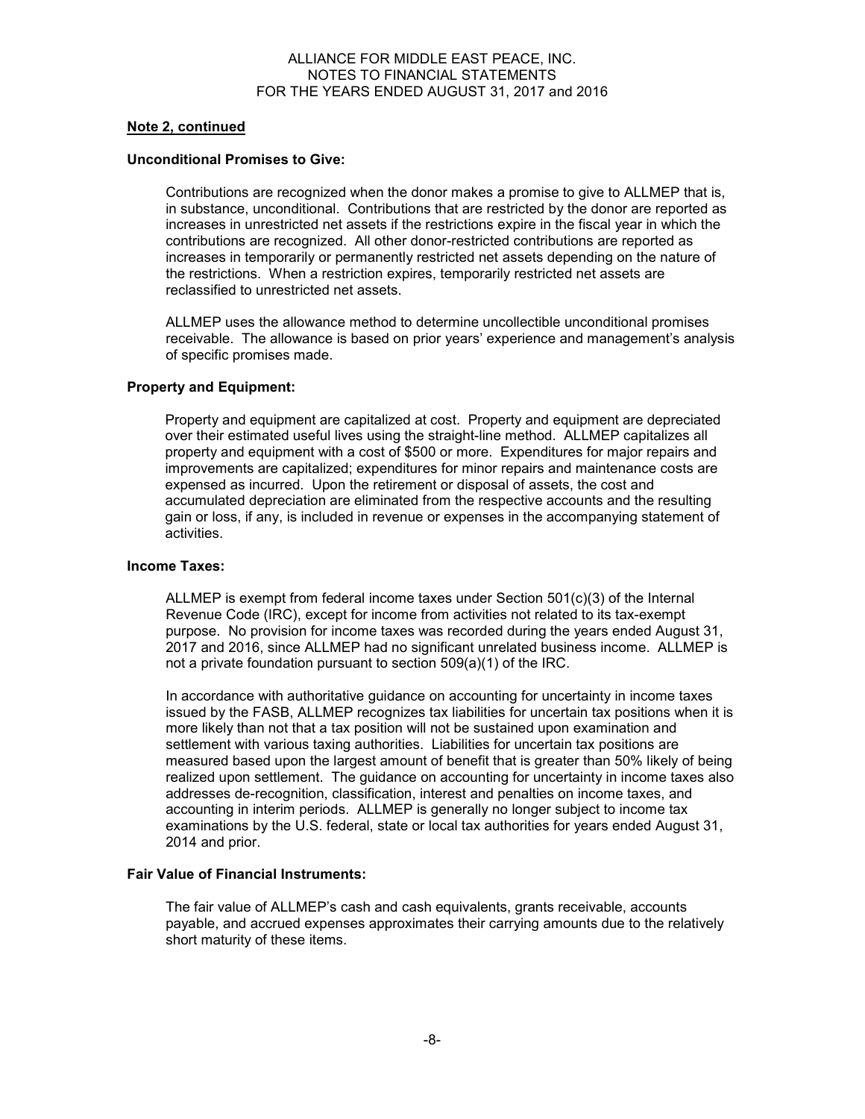#### **Note 2, continued**

#### **Unconditional Promises to Give:**

Contributions are recognized when the donor makes a promise to give to ALLMEP that is, in substance, unconditional. Contributions that are restricted by the donor are reported as increases in unrestricted net assets if the restrictions expire in the fiscal year in which the contributions are recognized. All other donor-restricted contributions are reported as increases in temporarily or permanently restricted net assets depending on the nature of the restrictions. When a restriction expires, temporarily restricted net assets are reclassified to unrestricted net assets.

ALLMEP uses the allowance method to determine uncollectible unconditional promises receivable. The allowance is based on prior years' experience and management's analysis of specific promises made.

#### **Property and Equipment:**

Property and equipment are capitalized at cost. Property and equipment are depreciated over their estimated useful lives using the straight-line method. ALLMEP capitalizes all property and equipment with a cost of \$500 or more. Expenditures for major repairs and improvements are capitalized; expenditures for minor repairs and maintenance costs are expensed as incurred. Upon the retirement or disposal of assets, the cost and accumulated depreciation are eliminated from the respective accounts and the resulting gain or loss, if any, is included in revenue or expenses in the accompanying statement of activities.

#### **Income Taxes:**

ALLMEP is exempt from federal income taxes under Section  $501(c)(3)$  of the Internal Revenue Code (IRC), except for income from activities not related to its tax-exempt purpose. No provision for income taxes was recorded during the years ended August 31, 2017 and 2016, since ALLMEP had no significant unrelated business income. ALLMEP is not a private foundation pursuant to section 509(a)(1) of the IRC.

In accordance with authoritative guidance on accounting for uncertainty in income taxes issued by the FASB, ALLMEP recognizes tax liabilities for uncertain tax positions when it is more likely than not that a tax position will not be sustained upon examination and settlement with various taxing authorities. Liabilities for uncertain tax positions are measured based upon the largest amount of benefit that is greater than 50% likely of being realized upon settlement. The guidance on accounting for uncertainty in income taxes also addresses de-recognition, classification, interest and penalties on income taxes, and accounting in interim periods. ALLMEP is generally no longer subject to income tax examinations by the U.S. federal, state or local tax authorities for years ended August 31, 2014 and prior.

# **Fair Value of Financial Instruments:**

The fair value of ALLMEP's cash and cash equivalents, grants receivable, accounts payable, and accrued expenses approximates their carrying amounts due to the relatively short maturity of these items.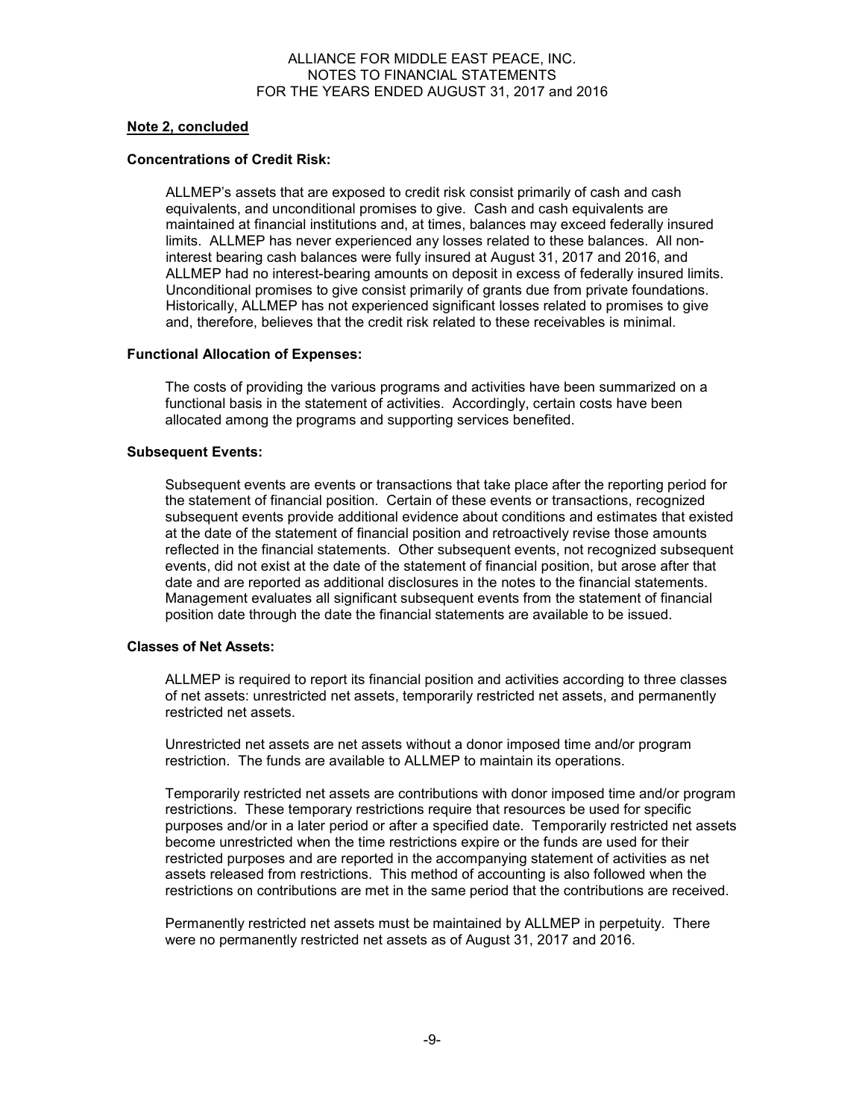# **Note 2, concluded**

# **Concentrations of Credit Risk:**

ALLMEP's assets that are exposed to credit risk consist primarily of cash and cash equivalents, and unconditional promises to give. Cash and cash equivalents are maintained at financial institutions and, at times, balances may exceed federally insured limits. ALLMEP has never experienced any losses related to these balances. All noninterest bearing cash balances were fully insured at August 31, 2017 and 2016, and ALLMEP had no interest-bearing amounts on deposit in excess of federally insured limits. Unconditional promises to give consist primarily of grants due from private foundations. Historically, ALLMEP has not experienced significant losses related to promises to give and, therefore, believes that the credit risk related to these receivables is minimal.

#### **Functional Allocation of Expenses:**

The costs of providing the various programs and activities have been summarized on a functional basis in the statement of activities. Accordingly, certain costs have been allocated among the programs and supporting services benefited.

#### **Subsequent Events:**

Subsequent events are events or transactions that take place after the reporting period for the statement of financial position. Certain of these events or transactions, recognized subsequent events provide additional evidence about conditions and estimates that existed at the date of the statement of financial position and retroactively revise those amounts reflected in the financial statements. Other subsequent events, not recognized subsequent events, did not exist at the date of the statement of financial position, but arose after that date and are reported as additional disclosures in the notes to the financial statements. Management evaluates all significant subsequent events from the statement of financial position date through the date the financial statements are available to be issued.

# **Classes of Net Assets:**

ALLMEP is required to report its financial position and activities according to three classes of net assets: unrestricted net assets, temporarily restricted net assets, and permanently restricted net assets.

Unrestricted net assets are net assets without a donor imposed time and/or program restriction. The funds are available to ALLMEP to maintain its operations.

Temporarily restricted net assets are contributions with donor imposed time and/or program restrictions. These temporary restrictions require that resources be used for specific purposes and/or in a later period or after a specified date. Temporarily restricted net assets become unrestricted when the time restrictions expire or the funds are used for their restricted purposes and are reported in the accompanying statement of activities as net assets released from restrictions. This method of accounting is also followed when the restrictions on contributions are met in the same period that the contributions are received.

Permanently restricted net assets must be maintained by ALLMEP in perpetuity. There were no permanently restricted net assets as of August 31, 2017 and 2016.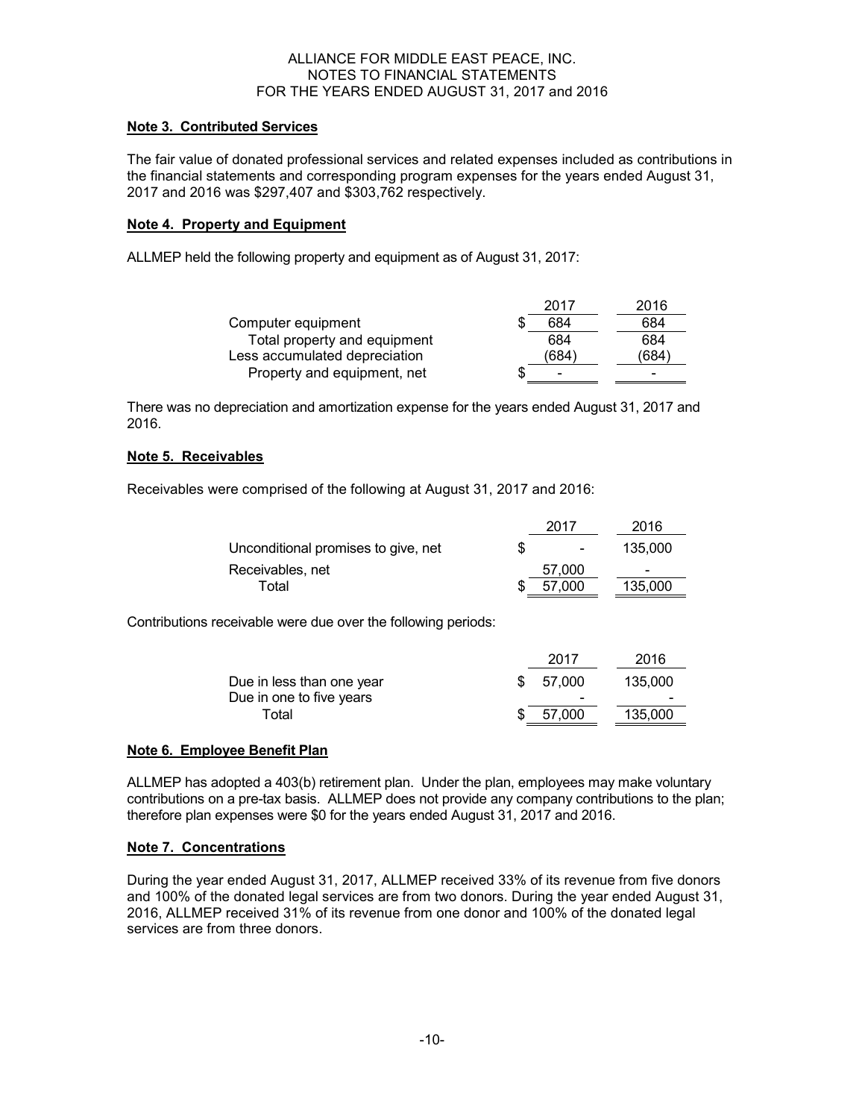# **Note 3. Contributed Services**

The fair value of donated professional services and related expenses included as contributions in the financial statements and corresponding program expenses for the years ended August 31, 2017 and 2016 was \$297,407 and \$303,762 respectively.

# **Note 4. Property and Equipment**

ALLMEP held the following property and equipment as of August 31, 2017:

|                               | 2017                     | 2016  |
|-------------------------------|--------------------------|-------|
| Computer equipment            | 684                      | 684   |
| Total property and equipment  | 684                      | 684   |
| Less accumulated depreciation | (684)                    | (684) |
| Property and equipment, net   | $\overline{\phantom{0}}$ | -     |

There was no depreciation and amortization expense for the years ended August 31, 2017 and 2016.

# **Note 5. Receivables**

Receivables were comprised of the following at August 31, 2017 and 2016:

|                                     |   | 2017                     | 2016    |
|-------------------------------------|---|--------------------------|---------|
| Unconditional promises to give, net | S | $\overline{\phantom{a}}$ | 135,000 |
| Receivables, net                    |   | 57,000                   | -       |
| Total                               |   | 57.000                   | 135,000 |

Contributions receivable were due over the following periods:

|                                                       | 2017                               | 2016    |
|-------------------------------------------------------|------------------------------------|---------|
| Due in less than one year<br>Due in one to five years | 57.000<br>$\overline{\phantom{0}}$ | 135,000 |
| Total                                                 | 57,000                             | 135,000 |

# **Note 6. Employee Benefit Plan**

ALLMEP has adopted a 403(b) retirement plan. Under the plan, employees may make voluntary contributions on a pre-tax basis. ALLMEP does not provide any company contributions to the plan; therefore plan expenses were \$0 for the years ended August 31, 2017 and 2016.

#### **Note 7. Concentrations**

During the year ended August 31, 2017, ALLMEP received 33% of its revenue from five donors and 100% of the donated legal services are from two donors. During the year ended August 31, 2016, ALLMEP received 31% of its revenue from one donor and 100% of the donated legal services are from three donors.